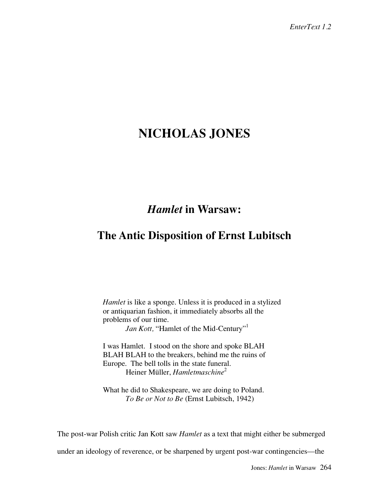## **NICHOLAS JONES**

## *Hamlet* **in Warsaw:**

## **The Antic Disposition of Ernst Lubitsch**

*Hamlet* is like a sponge. Unless it is produced in a stylized or antiquarian fashion, it immediately absorbs all the problems of our time.

*Jan Kott,* "Hamlet of the Mid-Century"<sup>1</sup>

I was Hamlet. I stood on the shore and spoke BLAH BLAH BLAH to the breakers, behind me the ruins of Europe. The bell tolls in the state funeral. Heiner Müller, *Hamletmaschine*<sup>2</sup>

What he did to Shakespeare, we are doing to Poland. *To Be or Not to Be* (Ernst Lubitsch, 1942)

The post-war Polish critic Jan Kott saw *Hamlet* as a text that might either be submerged

under an ideology of reverence, or be sharpened by urgent post-war contingencies—the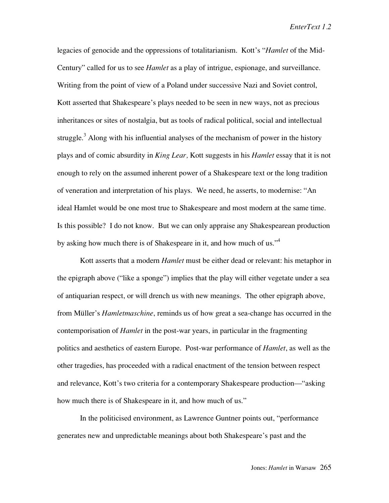legacies of genocide and the oppressions of totalitarianism. Kott's "*Hamlet* of the Mid-Century" called for us to see *Hamlet* as a play of intrigue, espionage, and surveillance. Writing from the point of view of a Poland under successive Nazi and Soviet control, Kott asserted that Shakespeare's plays needed to be seen in new ways, not as precious inheritances or sites of nostalgia, but as tools of radical political, social and intellectual struggle.<sup>3</sup> Along with his influential analyses of the mechanism of power in the history plays and of comic absurdity in *King Lear,* Kott suggests in his *Hamlet* essay that it is not enough to rely on the assumed inherent power of a Shakespeare text or the long tradition of veneration and interpretation of his plays. We need, he asserts, to modernise: "An ideal Hamlet would be one most true to Shakespeare and most modern at the same time. Is this possible? I do not know. But we can only appraise any Shakespearean production by asking how much there is of Shakespeare in it, and how much of us."<sup>4</sup>

Kott asserts that a modern *Hamlet* must be either dead or relevant: his metaphor in the epigraph above ("like a sponge") implies that the play will either vegetate under a sea of antiquarian respect, or will drench us with new meanings. The other epigraph above, from Müller's *Hamletmaschine*, reminds us of how great a sea-change has occurred in the contemporisation of *Hamlet* in the post-war years, in particular in the fragmenting politics and aesthetics of eastern Europe. Post-war performance of *Hamlet*, as well as the other tragedies, has proceeded with a radical enactment of the tension between respect and relevance, Kott's two criteria for a contemporary Shakespeare production—"asking how much there is of Shakespeare in it, and how much of us."

In the politicised environment, as Lawrence Guntner points out, "performance generates new and unpredictable meanings about both Shakespeare's past and the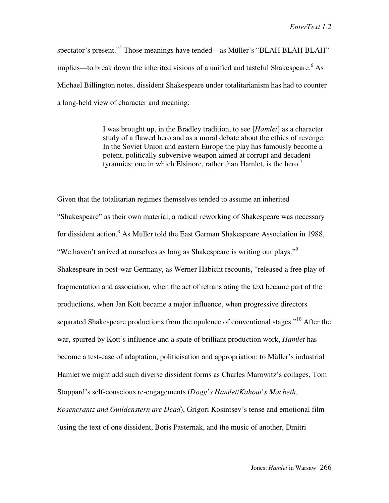spectator's present."<sup>5</sup> Those meanings have tended—as Müller's "BLAH BLAH BLAH" implies—to break down the inherited visions of a unified and tasteful Shakespeare.<sup>6</sup> As Michael Billington notes, dissident Shakespeare under totalitarianism has had to counter a long-held view of character and meaning:

> I was brought up, in the Bradley tradition, to see [*Hamlet*] as a character study of a flawed hero and as a moral debate about the ethics of revenge. In the Soviet Union and eastern Europe the play has famously become a potent, politically subversive weapon aimed at corrupt and decadent tyrannies: one in which Elsinore, rather than Hamlet, is the hero.<sup>7</sup>

Given that the totalitarian regimes themselves tended to assume an inherited "Shakespeare" as their own material, a radical reworking of Shakespeare was necessary for dissident action.<sup>8</sup> As Müller told the East German Shakespeare Association in 1988, "We haven't arrived at ourselves as long as Shakespeare is writing our plays."<sup>9</sup> Shakespeare in post-war Germany, as Werner Habicht recounts, "released a free play of fragmentation and association, when the act of retranslating the text became part of the productions, when Jan Kott became a major influence, when progressive directors separated Shakespeare productions from the opulence of conventional stages."<sup>10</sup> After the war, spurred by Kott's influence and a spate of brilliant production work, *Hamlet* has become a test-case of adaptation, politicisation and appropriation: to Müller's industrial Hamlet we might add such diverse dissident forms as Charles Marowitz's collages, Tom Stoppard's self-conscious re-engagements (*Dogg's Hamlet/Kahout's Macbeth*, *Rosencrantz and Guildenstern are Dead*), Grigori Kosintsev's tense and emotional film (using the text of one dissident, Boris Pasternak, and the music of another, Dmitri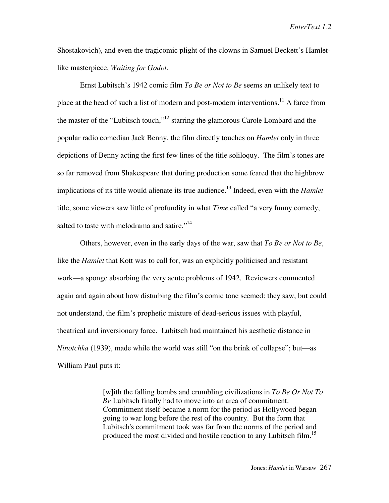Shostakovich), and even the tragicomic plight of the clowns in Samuel Beckett's Hamletlike masterpiece, *Waiting for Godot.*

Ernst Lubitsch's 1942 comic film *To Be or Not to Be* seems an unlikely text to place at the head of such a list of modern and post-modern interventions.<sup>11</sup> A farce from the master of the "Lubitsch touch,"12 starring the glamorous Carole Lombard and the popular radio comedian Jack Benny, the film directly touches on *Hamlet* only in three depictions of Benny acting the first few lines of the title soliloquy. The film's tones are so far removed from Shakespeare that during production some feared that the highbrow implications of its title would alienate its true audience.<sup>13</sup> Indeed, even with the *Hamlet* title, some viewers saw little of profundity in what *Time* called "a very funny comedy, salted to taste with melodrama and satire."<sup>14</sup>

Others, however, even in the early days of the war, saw that *To Be or Not to Be*, like the *Hamlet* that Kott was to call for, was an explicitly politicised and resistant work—a sponge absorbing the very acute problems of 1942. Reviewers commented again and again about how disturbing the film's comic tone seemed: they saw, but could not understand, the film's prophetic mixture of dead-serious issues with playful, theatrical and inversionary farce. Lubitsch had maintained his aesthetic distance in *Ninotchka* (1939), made while the world was still "on the brink of collapse"; but—as William Paul puts it:

> [w]ith the falling bombs and crumbling civilizations in *To Be Or Not To Be* Lubitsch finally had to move into an area of commitment. Commitment itself became a norm for the period as Hollywood began going to war long before the rest of the country. But the form that Lubitsch's commitment took was far from the norms of the period and produced the most divided and hostile reaction to any Lubitsch film.<sup>15</sup>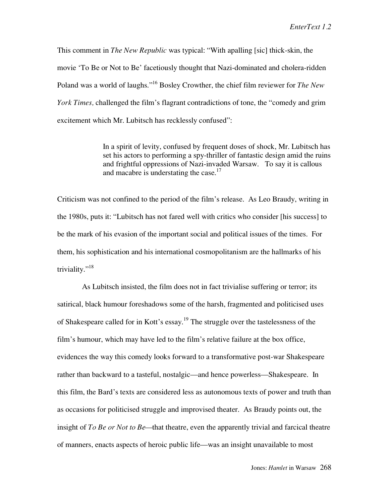This comment in *The New Republic* was typical: "With apalling [sic] thick-skin, the movie 'To Be or Not to Be' facetiously thought that Nazi-dominated and cholera-ridden Poland was a world of laughs."16 Bosley Crowther, the chief film reviewer for *The New York Times,* challenged the film's flagrant contradictions of tone, the "comedy and grim excitement which Mr. Lubitsch has recklessly confused":

> In a spirit of levity, confused by frequent doses of shock, Mr. Lubitsch has set his actors to performing a spy-thriller of fantastic design amid the ruins and frightful oppressions of Nazi-invaded Warsaw. To say it is callous and macabre is understating the case.<sup>17</sup>

Criticism was not confined to the period of the film's release. As Leo Braudy, writing in the 1980s, puts it: "Lubitsch has not fared well with critics who consider [his success] to be the mark of his evasion of the important social and political issues of the times. For them, his sophistication and his international cosmopolitanism are the hallmarks of his triviality."<sup>18</sup>

 As Lubitsch insisted, the film does not in fact trivialise suffering or terror; its satirical, black humour foreshadows some of the harsh, fragmented and politicised uses of Shakespeare called for in Kott's essay.<sup>19</sup> The struggle over the tastelessness of the film's humour, which may have led to the film's relative failure at the box office, evidences the way this comedy looks forward to a transformative post-war Shakespeare rather than backward to a tasteful, nostalgic—and hence powerless—Shakespeare. In this film, the Bard's texts are considered less as autonomous texts of power and truth than as occasions for politicised struggle and improvised theater. As Braudy points out, the insight of *To Be or Not to Be—*that theatre, even the apparently trivial and farcical theatre of manners, enacts aspects of heroic public life—was an insight unavailable to most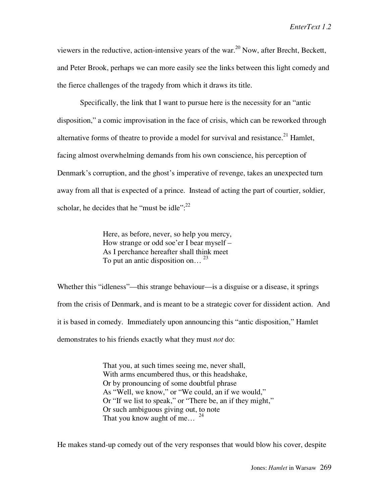viewers in the reductive, action-intensive years of the war.<sup>20</sup> Now, after Brecht, Beckett, and Peter Brook, perhaps we can more easily see the links between this light comedy and the fierce challenges of the tragedy from which it draws its title.

Specifically, the link that I want to pursue here is the necessity for an "antic disposition," a comic improvisation in the face of crisis, which can be reworked through alternative forms of theatre to provide a model for survival and resistance.<sup>21</sup> Hamlet, facing almost overwhelming demands from his own conscience, his perception of Denmark's corruption, and the ghost's imperative of revenge, takes an unexpected turn away from all that is expected of a prince. Instead of acting the part of courtier, soldier, scholar, he decides that he "must be idle": $^{22}$ 

> Here, as before, never, so help you mercy, How strange or odd soe'er I bear myself – As I perchance hereafter shall think meet To put an antic disposition on...  $^{23}$

Whether this "idleness"—this strange behaviour—is a disguise or a disease, it springs from the crisis of Denmark, and is meant to be a strategic cover for dissident action. And it is based in comedy. Immediately upon announcing this "antic disposition," Hamlet demonstrates to his friends exactly what they must *not* do:

> That you, at such times seeing me, never shall, With arms encumbered thus, or this headshake, Or by pronouncing of some doubtful phrase As "Well, we know," or "We could, an if we would," Or "If we list to speak," or "There be, an if they might," Or such ambiguous giving out, to note That you know aught of me...  $24$

He makes stand-up comedy out of the very responses that would blow his cover, despite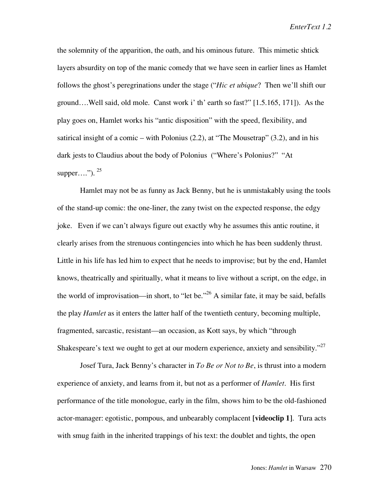the solemnity of the apparition, the oath, and his ominous future. This mimetic shtick layers absurdity on top of the manic comedy that we have seen in earlier lines as Hamlet follows the ghost's peregrinations under the stage ("*Hic et ubique*? Then we'll shift our ground….Well said, old mole. Canst work i' th' earth so fast?" [1.5.165, 171]). As the play goes on, Hamlet works his "antic disposition" with the speed, flexibility, and satirical insight of a comic – with Polonius  $(2.2)$ , at "The Mousetrap"  $(3.2)$ , and in his dark jests to Claudius about the body of Polonius ("Where's Polonius?" "At supper....").  $25$ 

Hamlet may not be as funny as Jack Benny, but he is unmistakably using the tools of the stand-up comic: the one-liner, the zany twist on the expected response, the edgy joke. Even if we can't always figure out exactly why he assumes this antic routine, it clearly arises from the strenuous contingencies into which he has been suddenly thrust. Little in his life has led him to expect that he needs to improvise; but by the end, Hamlet knows, theatrically and spiritually, what it means to live without a script, on the edge, in the world of improvisation—in short, to "let be."<sup>26</sup> A similar fate, it may be said, befalls the play *Hamlet* as it enters the latter half of the twentieth century, becoming multiple, fragmented, sarcastic, resistant—an occasion, as Kott says, by which "through Shakespeare's text we ought to get at our modern experience, anxiety and sensibility."<sup>27</sup>

Josef Tura, Jack Benny's character in *To Be or Not to Be*, is thrust into a modern experience of anxiety, and learns from it, but not as a performer of *Hamlet*. His first performance of the title monologue, early in the film, shows him to be the old-fashioned actor-manager: egotistic, pompous, and unbearably complacent **[videoclip 1]**.Tura acts with smug faith in the inherited trappings of his text: the doublet and tights, the open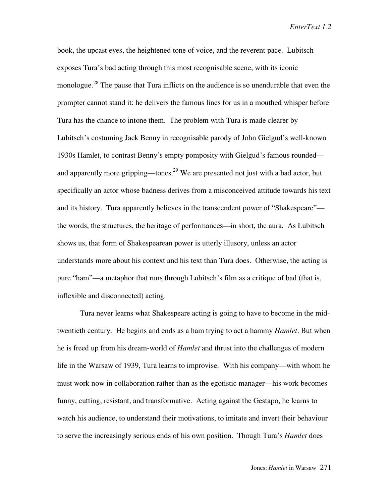book, the upcast eyes, the heightened tone of voice, and the reverent pace. Lubitsch exposes Tura's bad acting through this most recognisable scene, with its iconic monologue.<sup>28</sup> The pause that Tura inflicts on the audience is so unendurable that even the prompter cannot stand it: he delivers the famous lines for us in a mouthed whisper before Tura has the chance to intone them. The problem with Tura is made clearer by Lubitsch's costuming Jack Benny in recognisable parody of John Gielgud's well-known 1930s Hamlet, to contrast Benny's empty pomposity with Gielgud's famous rounded and apparently more gripping—tones.<sup>29</sup> We are presented not just with a bad actor, but specifically an actor whose badness derives from a misconceived attitude towards his text and its history. Tura apparently believes in the transcendent power of "Shakespeare" the words, the structures, the heritage of performances—in short, the aura. As Lubitsch shows us, that form of Shakespearean power is utterly illusory, unless an actor understands more about his context and his text than Tura does. Otherwise, the acting is pure "ham"—a metaphor that runs through Lubitsch's film as a critique of bad (that is, inflexible and disconnected) acting.

Tura never learns what Shakespeare acting is going to have to become in the midtwentieth century. He begins and ends as a ham trying to act a hammy *Hamlet*. But when he is freed up from his dream-world of *Hamlet* and thrust into the challenges of modern life in the Warsaw of 1939, Tura learns to improvise. With his company—with whom he must work now in collaboration rather than as the egotistic manager—his work becomes funny, cutting, resistant, and transformative. Acting against the Gestapo, he learns to watch his audience, to understand their motivations, to imitate and invert their behaviour to serve the increasingly serious ends of his own position. Though Tura's *Hamlet* does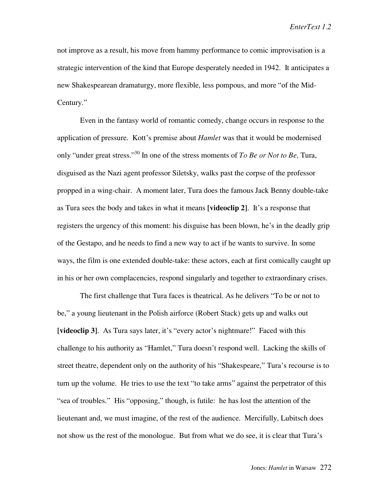not improve as a result, his move from hammy performance to comic improvisation is a strategic intervention of the kind that Europe desperately needed in 1942. It anticipates a new Shakespearean dramaturgy, more flexible, less pompous, and more "of the Mid-Century."

Even in the fantasy world of romantic comedy, change occurs in response to the application of pressure. Kott's premise about *Hamlet* was that it would be modernised only "under great stress."30 In one of the stress moments of *To Be or Not to Be,* Tura, disguised as the Nazi agent professor Siletsky, walks past the corpse of the professor propped in a wing-chair. A moment later, Tura does the famous Jack Benny double-take as Tura sees the body and takes in what it means **[videoclip 2]**. It's a response that registers the urgency of this moment: his disguise has been blown, he's in the deadly grip of the Gestapo, and he needs to find a new way to act if he wants to survive. In some ways, the film is one extended double-take: these actors, each at first comically caught up in his or her own complacencies, respond singularly and together to extraordinary crises.

The first challenge that Tura faces is theatrical. As he delivers "To be or not to be," a young lieutenant in the Polish airforce (Robert Stack) gets up and walks out **[videoclip 3].** As Tura says later, it's "every actor's nightmare!" Faced with this challenge to his authority as "Hamlet," Tura doesn't respond well. Lacking the skills of street theatre, dependent only on the authority of his "Shakespeare," Tura's recourse is to turn up the volume. He tries to use the text "to take arms" against the perpetrator of this "sea of troubles." His "opposing," though, is futile: he has lost the attention of the lieutenant and, we must imagine, of the rest of the audience. Mercifully, Lubitsch does not show us the rest of the monologue. But from what we do see, it is clear that Tura's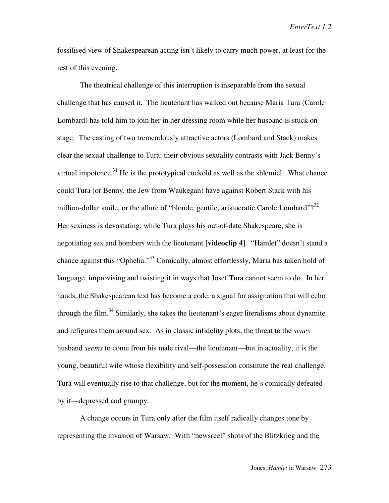fossilised view of Shakespearean acting isn't likely to carry much power, at least for the rest of this evening.

The theatrical challenge of this interruption is inseparable from the sexual challenge that has caused it. The lieutenant has walked out because Maria Tura (Carole Lombard) has told him to join her in her dressing room while her husband is stuck on stage. The casting of two tremendously attractive actors (Lombard and Stack) makes clear the sexual challenge to Tura: their obvious sexuality contrasts with Jack Benny's virtual impotence.<sup>31</sup> He is the prototypical cuckold as well as the shlemiel. What chance could Tura (or Benny, the Jew from Waukegan) have against Robert Stack with his million-dollar smile, or the allure of "blonde, gentile, aristocratic Carole Lombard"?<sup>32</sup> Her sexiness is devastating: while Tura plays his out-of-date Shakespeare, she is negotiating sex and bombers with the lieutenant **[videoclip 4]**. "Hamlet" doesn't stand a chance against this "Ophelia."33 Comically, almost effortlessly, Maria has taken hold of language, improvising and twisting it in ways that Josef Tura cannot seem to do. In her hands, the Shakespearean text has become a code, a signal for assignation that will echo through the film.<sup>34</sup> Similarly, she takes the lieutenant's eager literalisms about dynamite and refigures them around sex. As in classic infidelity plots, the threat to the *senex* husband *seems* to come from his male rival—the lieutenant—but in actuality, it is the young, beautiful wife whose flexibility and self-possession constitute the real challenge. Tura will eventually rise to that challenge, but for the moment, he's comically defeated by it—depressed and grumpy.

A change occurs in Tura only after the film itself radically changes tone by representing the invasion of Warsaw. With "newsreel" shots of the Blitzkrieg and the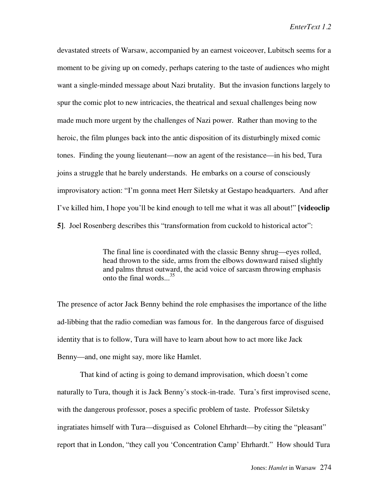devastated streets of Warsaw, accompanied by an earnest voiceover, Lubitsch seems for a moment to be giving up on comedy, perhaps catering to the taste of audiences who might want a single-minded message about Nazi brutality. But the invasion functions largely to spur the comic plot to new intricacies, the theatrical and sexual challenges being now made much more urgent by the challenges of Nazi power. Rather than moving to the heroic, the film plunges back into the antic disposition of its disturbingly mixed comic tones. Finding the young lieutenant—now an agent of the resistance—in his bed, Tura joins a struggle that he barely understands. He embarks on a course of consciously improvisatory action: "I'm gonna meet Herr Siletsky at Gestapo headquarters. And after I've killed him, I hope you'll be kind enough to tell me what it was all about!" **[videoclip 5]**. Joel Rosenberg describes this "transformation from cuckold to historical actor":

> The final line is coordinated with the classic Benny shrug—eyes rolled, head thrown to the side, arms from the elbows downward raised slightly and palms thrust outward, the acid voice of sarcasm throwing emphasis onto the final words...<sup>35</sup>

The presence of actor Jack Benny behind the role emphasises the importance of the lithe ad-libbing that the radio comedian was famous for. In the dangerous farce of disguised identity that is to follow, Tura will have to learn about how to act more like Jack Benny—and, one might say, more like Hamlet.

That kind of acting is going to demand improvisation, which doesn't come naturally to Tura, though it is Jack Benny's stock-in-trade. Tura's first improvised scene, with the dangerous professor, poses a specific problem of taste. Professor Siletsky ingratiates himself with Tura—disguised as Colonel Ehrhardt—by citing the "pleasant" report that in London, "they call you 'Concentration Camp' Ehrhardt." How should Tura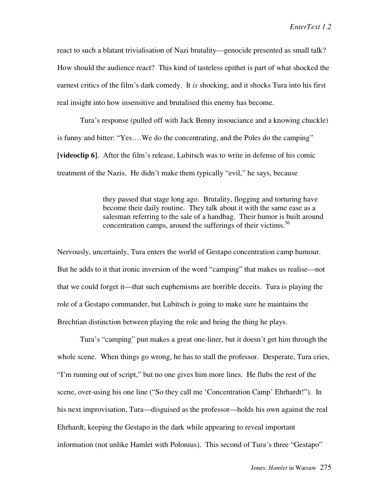react to such a blatant trivialisation of Nazi brutality—genocide presented as small talk? How should the audience react? This kind of tasteless epithet is part of what shocked the earnest critics of the film's dark comedy. It *is* shocking, and it shocks Tura into his first real insight into how insensitive and brutalised this enemy has become.

Tura's response (pulled off with Jack Benny insouciance and a knowing chuckle) is funny and bitter: "Yes….We do the concentrating, and the Poles do the camping" **[videoclip 6]**. After the film's release, Lubitsch was to write in defense of his comic treatment of the Nazis. He didn't make them typically "evil," he says, because

> they passed that stage long ago. Brutality, flogging and torturing have become their daily routine. They talk about it with the same ease as a salesman referring to the sale of a handbag. Their humor is built around concentration camps, around the sufferings of their victims.<sup>36</sup>

Nervously, uncertainly, Tura enters the world of Gestapo concentration camp humour. But he adds to it that ironic inversion of the word "camping" that makes us realise—not that we could forget it—that such euphemisms are horrible deceits. Tura is playing the role of a Gestapo commander, but Lubitsch is going to make sure he maintains the Brechtian distinction between playing the role and being the thing he plays.

Tura's "camping" pun makes a great one-liner, but it doesn't get him through the whole scene. When things go wrong, he has to stall the professor. Desperate, Tura cries, "I'm running out of script," but no one gives him more lines. He flubs the rest of the scene, over-using his one line ("So they call me 'Concentration Camp' Ehrhardt!"). In his next improvisation, Tura—disguised as the professor—holds his own against the real Ehrhardt, keeping the Gestapo in the dark while appearing to reveal important information (not unlike Hamlet with Polonius). This second of Tura's three "Gestapo"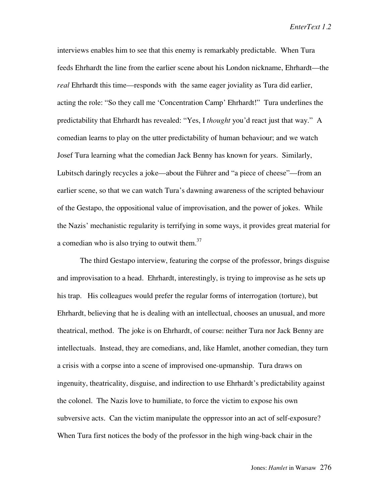interviews enables him to see that this enemy is remarkably predictable. When Tura feeds Ehrhardt the line from the earlier scene about his London nickname, Ehrhardt—the *real* Ehrhardt this time—responds with the same eager joviality as Tura did earlier, acting the role: "So they call me 'Concentration Camp' Ehrhardt!" Tura underlines the predictability that Ehrhardt has revealed: "Yes, I *thought* you'd react just that way." A comedian learns to play on the utter predictability of human behaviour; and we watch Josef Tura learning what the comedian Jack Benny has known for years. Similarly, Lubitsch daringly recycles a joke—about the Führer and "a piece of cheese"—from an earlier scene, so that we can watch Tura's dawning awareness of the scripted behaviour of the Gestapo, the oppositional value of improvisation, and the power of jokes. While the Nazis' mechanistic regularity is terrifying in some ways, it provides great material for a comedian who is also trying to outwit them. $37$ 

The third Gestapo interview, featuring the corpse of the professor, brings disguise and improvisation to a head. Ehrhardt, interestingly, is trying to improvise as he sets up his trap. His colleagues would prefer the regular forms of interrogation (torture), but Ehrhardt, believing that he is dealing with an intellectual, chooses an unusual, and more theatrical, method. The joke is on Ehrhardt, of course: neither Tura nor Jack Benny are intellectuals. Instead, they are comedians, and, like Hamlet, another comedian, they turn a crisis with a corpse into a scene of improvised one-upmanship. Tura draws on ingenuity, theatricality, disguise, and indirection to use Ehrhardt's predictability against the colonel. The Nazis love to humiliate, to force the victim to expose his own subversive acts. Can the victim manipulate the oppressor into an act of self-exposure? When Tura first notices the body of the professor in the high wing-back chair in the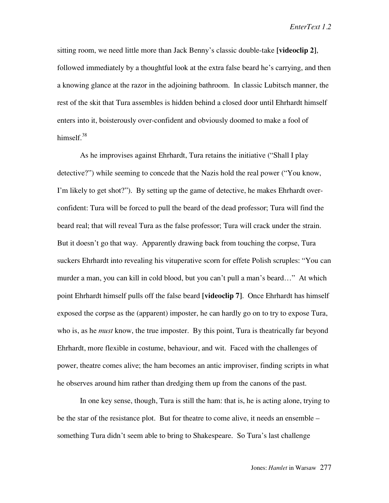sitting room, we need little more than Jack Benny's classic double-take **[videoclip 2]**, followed immediately by a thoughtful look at the extra false beard he's carrying, and then a knowing glance at the razor in the adjoining bathroom. In classic Lubitsch manner, the rest of the skit that Tura assembles is hidden behind a closed door until Ehrhardt himself enters into it, boisterously over-confident and obviously doomed to make a fool of himself. $38$ 

As he improvises against Ehrhardt, Tura retains the initiative ("Shall I play detective?") while seeming to concede that the Nazis hold the real power ("You know, I'm likely to get shot?"). By setting up the game of detective, he makes Ehrhardt overconfident: Tura will be forced to pull the beard of the dead professor; Tura will find the beard real; that will reveal Tura as the false professor; Tura will crack under the strain. But it doesn't go that way. Apparently drawing back from touching the corpse, Tura suckers Ehrhardt into revealing his vituperative scorn for effete Polish scruples: "You can murder a man, you can kill in cold blood, but you can't pull a man's beard…" At which point Ehrhardt himself pulls off the false beard **[videoclip 7]**. Once Ehrhardt has himself exposed the corpse as the (apparent) imposter, he can hardly go on to try to expose Tura, who is, as he *must* know, the true imposter. By this point, Tura is theatrically far beyond Ehrhardt, more flexible in costume, behaviour, and wit. Faced with the challenges of power, theatre comes alive; the ham becomes an antic improviser, finding scripts in what he observes around him rather than dredging them up from the canons of the past.

In one key sense, though, Tura is still the ham: that is, he is acting alone, trying to be the star of the resistance plot. But for theatre to come alive, it needs an ensemble – something Tura didn't seem able to bring to Shakespeare. So Tura's last challenge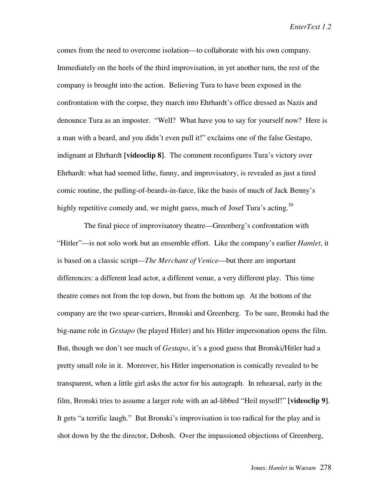comes from the need to overcome isolation—to collaborate with his own company. Immediately on the heels of the third improvisation, in yet another turn, the rest of the company is brought into the action. Believing Tura to have been exposed in the confrontation with the corpse, they march into Ehrhardt's office dressed as Nazis and denounce Tura as an imposter. "Well? What have you to say for yourself now? Here is a man with a beard, and you didn't even pull it!" exclaims one of the false Gestapo, indignant at Ehrhardt **[videoclip 8]**. The comment reconfigures Tura's victory over Ehrhardt: what had seemed lithe, funny, and improvisatory, is revealed as just a tired comic routine, the pulling-of-beards-in-farce, like the basis of much of Jack Benny's highly repetitive comedy and, we might guess, much of Josef Tura's acting.<sup>39</sup>

 The final piece of improvisatory theatre—Greenberg's confrontation with "Hitler"—is not solo work but an ensemble effort. Like the company's earlier *Hamlet*, it is based on a classic script—*The Merchant of Venice*—but there are important differences: a different lead actor, a different venue, a very different play. This time theatre comes not from the top down, but from the bottom up. At the bottom of the company are the two spear-carriers, Bronski and Greenberg. To be sure, Bronski had the big-name role in *Gestapo* (he played Hitler) and his Hitler impersonation opens the film. But, though we don't see much of *Gestapo*, it's a good guess that Bronski/Hitler had a pretty small role in it. Moreover, his Hitler impersonation is comically revealed to be transparent, when a little girl asks the actor for his autograph. In rehearsal, early in the film, Bronski tries to assume a larger role with an ad-libbed "Heil myself!" **[videoclip 9]**. It gets "a terrific laugh." But Bronski's improvisation is too radical for the play and is shot down by the the director, Dobosh. Over the impassioned objections of Greenberg,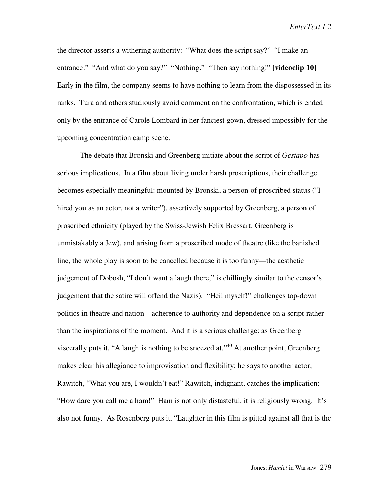the director asserts a withering authority: "What does the script say?" "I make an entrance." "And what do you say?" "Nothing." "Then say nothing!" **[videoclip 10]** Early in the film, the company seems to have nothing to learn from the dispossessed in its ranks. Tura and others studiously avoid comment on the confrontation, which is ended only by the entrance of Carole Lombard in her fanciest gown, dressed impossibly for the upcoming concentration camp scene.

The debate that Bronski and Greenberg initiate about the script of *Gestapo* has serious implications. In a film about living under harsh proscriptions, their challenge becomes especially meaningful: mounted by Bronski, a person of proscribed status ("I hired you as an actor, not a writer"), assertively supported by Greenberg, a person of proscribed ethnicity (played by the Swiss-Jewish Felix Bressart, Greenberg is unmistakably a Jew), and arising from a proscribed mode of theatre (like the banished line, the whole play is soon to be cancelled because it is too funny—the aesthetic judgement of Dobosh, "I don't want a laugh there," is chillingly similar to the censor's judgement that the satire will offend the Nazis). "Heil myself!" challenges top-down politics in theatre and nation—adherence to authority and dependence on a script rather than the inspirations of the moment. And it is a serious challenge: as Greenberg viscerally puts it, "A laugh is nothing to be sneezed at,  $140$  At another point, Greenberg makes clear his allegiance to improvisation and flexibility: he says to another actor, Rawitch, "What you are, I wouldn't eat!" Rawitch, indignant, catches the implication: "How dare you call me a ham!" Ham is not only distasteful, it is religiously wrong. It's also not funny. As Rosenberg puts it, "Laughter in this film is pitted against all that is the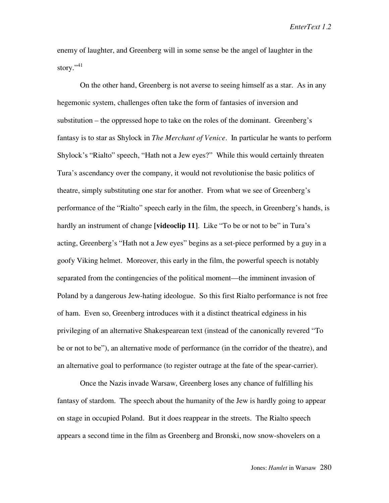enemy of laughter, and Greenberg will in some sense be the angel of laughter in the story."<sup>41</sup>

On the other hand, Greenberg is not averse to seeing himself as a star. As in any hegemonic system, challenges often take the form of fantasies of inversion and substitution – the oppressed hope to take on the roles of the dominant. Greenberg's fantasy is to star as Shylock in *The Merchant of Venice*. In particular he wants to perform Shylock's "Rialto" speech, "Hath not a Jew eyes?" While this would certainly threaten Tura's ascendancy over the company, it would not revolutionise the basic politics of theatre, simply substituting one star for another. From what we see of Greenberg's performance of the "Rialto" speech early in the film, the speech, in Greenberg's hands, is hardly an instrument of change **[videoclip 11]**. Like "To be or not to be" in Tura's acting, Greenberg's "Hath not a Jew eyes" begins as a set-piece performed by a guy in a goofy Viking helmet. Moreover, this early in the film, the powerful speech is notably separated from the contingencies of the political moment—the imminent invasion of Poland by a dangerous Jew-hating ideologue. So this first Rialto performance is not free of ham. Even so, Greenberg introduces with it a distinct theatrical edginess in his privileging of an alternative Shakespearean text (instead of the canonically revered "To be or not to be"), an alternative mode of performance (in the corridor of the theatre), and an alternative goal to performance (to register outrage at the fate of the spear-carrier).

Once the Nazis invade Warsaw, Greenberg loses any chance of fulfilling his fantasy of stardom. The speech about the humanity of the Jew is hardly going to appear on stage in occupied Poland. But it does reappear in the streets. The Rialto speech appears a second time in the film as Greenberg and Bronski, now snow-shovelers on a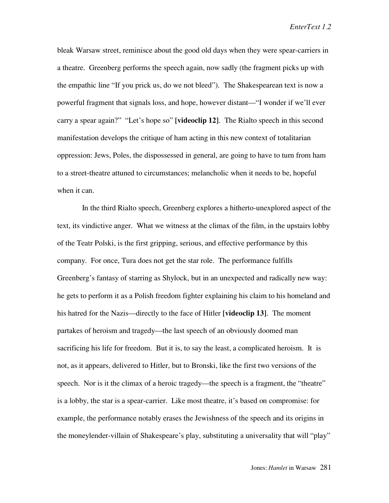bleak Warsaw street, reminisce about the good old days when they were spear-carriers in a theatre. Greenberg performs the speech again, now sadly (the fragment picks up with the empathic line "If you prick us, do we not bleed"). The Shakespearean text is now a powerful fragment that signals loss, and hope, however distant—"I wonder if we'll ever carry a spear again?" "Let's hope so" **[videoclip 12]**. The Rialto speech in this second manifestation develops the critique of ham acting in this new context of totalitarian oppression: Jews, Poles, the dispossessed in general, are going to have to turn from ham to a street-theatre attuned to circumstances; melancholic when it needs to be, hopeful when it can.

In the third Rialto speech, Greenberg explores a hitherto-unexplored aspect of the text, its vindictive anger. What we witness at the climax of the film, in the upstairs lobby of the Teatr Polski, is the first gripping, serious, and effective performance by this company. For once, Tura does not get the star role. The performance fulfills Greenberg's fantasy of starring as Shylock, but in an unexpected and radically new way: he gets to perform it as a Polish freedom fighter explaining his claim to his homeland and his hatred for the Nazis—directly to the face of Hitler **[videoclip 13]**. The moment partakes of heroism and tragedy—the last speech of an obviously doomed man sacrificing his life for freedom. But it is, to say the least, a complicated heroism. It is not, as it appears, delivered to Hitler, but to Bronski, like the first two versions of the speech. Nor is it the climax of a heroic tragedy—the speech is a fragment, the "theatre" is a lobby, the star is a spear-carrier. Like most theatre, it's based on compromise: for example, the performance notably erases the Jewishness of the speech and its origins in the moneylender-villain of Shakespeare's play, substituting a universality that will "play"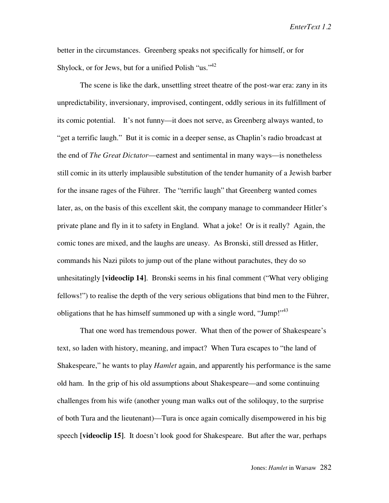better in the circumstances. Greenberg speaks not specifically for himself, or for Shylock, or for Jews, but for a unified Polish "us."<sup>42</sup>

The scene is like the dark, unsettling street theatre of the post-war era: zany in its unpredictability, inversionary, improvised, contingent, oddly serious in its fulfillment of its comic potential. It's not funny—it does not serve, as Greenberg always wanted, to "get a terrific laugh." But it is comic in a deeper sense, as Chaplin's radio broadcast at the end of *The Great Dictator*—earnest and sentimental in many ways—is nonetheless still comic in its utterly implausible substitution of the tender humanity of a Jewish barber for the insane rages of the Führer. The "terrific laugh" that Greenberg wanted comes later, as, on the basis of this excellent skit, the company manage to commandeer Hitler's private plane and fly in it to safety in England. What a joke! Or is it really? Again, the comic tones are mixed, and the laughs are uneasy. As Bronski, still dressed as Hitler, commands his Nazi pilots to jump out of the plane without parachutes, they do so unhesitatingly **[videoclip 14]**. Bronski seems in his final comment ("What very obliging fellows!") to realise the depth of the very serious obligations that bind men to the Führer, obligations that he has himself summoned up with a single word, "Jump!"<sup>43</sup>

That one word has tremendous power. What then of the power of Shakespeare's text, so laden with history, meaning, and impact? When Tura escapes to "the land of Shakespeare," he wants to play *Hamlet* again, and apparently his performance is the same old ham. In the grip of his old assumptions about Shakespeare—and some continuing challenges from his wife (another young man walks out of the soliloquy, to the surprise of both Tura and the lieutenant)—Tura is once again comically disempowered in his big speech **[videoclip 15]**. It doesn't look good for Shakespeare. But after the war, perhaps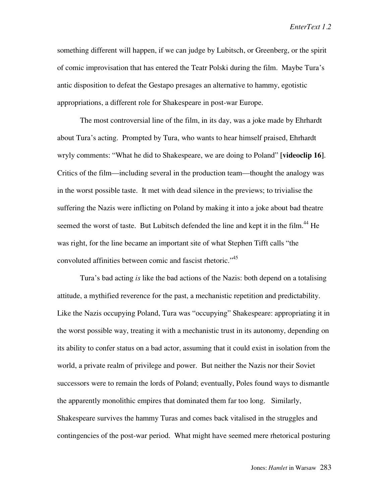something different will happen, if we can judge by Lubitsch, or Greenberg, or the spirit of comic improvisation that has entered the Teatr Polski during the film. Maybe Tura's antic disposition to defeat the Gestapo presages an alternative to hammy, egotistic appropriations, a different role for Shakespeare in post-war Europe.

The most controversial line of the film, in its day, was a joke made by Ehrhardt about Tura's acting. Prompted by Tura, who wants to hear himself praised, Ehrhardt wryly comments: "What he did to Shakespeare, we are doing to Poland" **[videoclip 16]**. Critics of the film—including several in the production team—thought the analogy was in the worst possible taste. It met with dead silence in the previews; to trivialise the suffering the Nazis were inflicting on Poland by making it into a joke about bad theatre seemed the worst of taste. But Lubitsch defended the line and kept it in the film.<sup>44</sup> He was right, for the line became an important site of what Stephen Tifft calls "the convoluted affinities between comic and fascist rhetoric."<sup>45</sup>

Tura's bad acting *is* like the bad actions of the Nazis: both depend on a totalising attitude, a mythified reverence for the past, a mechanistic repetition and predictability. Like the Nazis occupying Poland, Tura was "occupying" Shakespeare: appropriating it in the worst possible way, treating it with a mechanistic trust in its autonomy, depending on its ability to confer status on a bad actor, assuming that it could exist in isolation from the world, a private realm of privilege and power. But neither the Nazis nor their Soviet successors were to remain the lords of Poland; eventually, Poles found ways to dismantle the apparently monolithic empires that dominated them far too long. Similarly, Shakespeare survives the hammy Turas and comes back vitalised in the struggles and contingencies of the post-war period. What might have seemed mere rhetorical posturing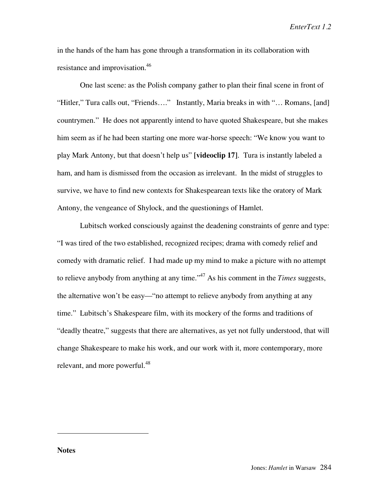in the hands of the ham has gone through a transformation in its collaboration with resistance and improvisation.<sup>46</sup>

One last scene: as the Polish company gather to plan their final scene in front of "Hitler," Tura calls out, "Friends…." Instantly, Maria breaks in with "… Romans, [and] countrymen." He does not apparently intend to have quoted Shakespeare, but she makes him seem as if he had been starting one more war-horse speech: "We know you want to play Mark Antony, but that doesn't help us" **[videoclip 17]**. Tura is instantly labeled a ham, and ham is dismissed from the occasion as irrelevant. In the midst of struggles to survive, we have to find new contexts for Shakespearean texts like the oratory of Mark Antony, the vengeance of Shylock, and the questionings of Hamlet.

Lubitsch worked consciously against the deadening constraints of genre and type: "I was tired of the two established, recognized recipes; drama with comedy relief and comedy with dramatic relief. I had made up my mind to make a picture with no attempt to relieve anybody from anything at any time."47 As his comment in the *Times* suggests, the alternative won't be easy—"no attempt to relieve anybody from anything at any time." Lubitsch's Shakespeare film, with its mockery of the forms and traditions of "deadly theatre," suggests that there are alternatives, as yet not fully understood, that will change Shakespeare to make his work, and our work with it, more contemporary, more relevant, and more powerful.<sup>48</sup>

**Notes**

 $\overline{a}$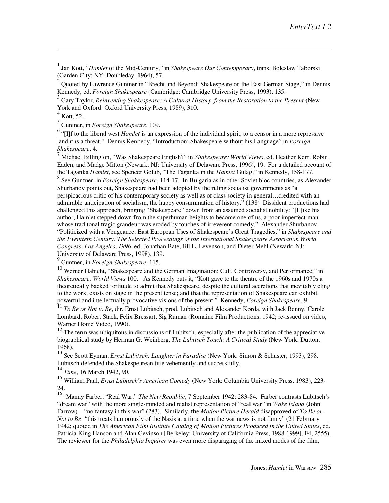1 Jan Kott, "*Hamlet* of the Mid-Century," in *Shakespeare Our Contemporary*, trans. Boleslaw Taborski (Garden City; NY: Doubleday, 1964), 57.

2 Quoted by Lawrence Guntner in "Brecht and Beyond: Shakespeare on the East German Stage," in Dennis Kennedy, ed, *Foreign Shakespeare* (Cambridge: Cambridge University Press, 1993), 135.

3 Gary Taylor, *Reinventing Shakespeare: A Cultural History, from the Restoration to the Present* (New York and Oxford: Oxford University Press, 1989), 310.

4 Kott, 52.

 $\overline{a}$ 

5 Guntner, in *Foreign Shakespeare*, 109.

<sup>6</sup> "[I]f to the liberal west *Hamlet* is an expression of the individual spirit, to a censor in a more repressive land it is a threat." Dennis Kennedy, "Introduction: Shakespeare without his Language" in *Foreign Shakespeare*, 4.

7 Michael Billington, "Was Shakespeare English?" in *Shakespeare: World Views*, ed. Heather Kerr, Robin Eaden, and Madge Mitton (Newark; NJ: University of Delaware Press, 1996), 19. For a detailed account of the Taganka *Hamlet*, see Spencer Golub, "The Taganka in the *Hamlet* Gulag," in Kennedy, 158-177.

8 See Guntner, in *Foreign Shakespeare*, 114-17. In Bulgaria as in other Soviet bloc countries, as Alexander Shurbanov points out, Shakespeare had been adopted by the ruling socialist governments as "a perspicacious critic of his contemporary society as well as of class society in general…credited with an admirable anticipation of socialism, the happy consummation of history." (138) Dissident productions had challenged this approach, bringing "Shakespeare" down from an assumed socialist nobility: "[L]ike his author, Hamlet stepped down from the superhuman heights to become one of us, a poor imperfect man whose traditonal tragic grandeur was eroded by touches of irreverent comedy." Alexander Shurbanov, "Politicized with a Vengeance: East European Uses of Shakespeare's Great Tragedies," in *Shakespeare and the Twentieth Century: The Selected Proceedings of the International Shakespeare Association World Congress, Los Angeles, 1996*, ed. Jonathan Bate, Jill L. Levenson, and Dieter Mehl (Newark; NJ: University of Delaware Press, 1998), 139.

9 Guntner, in *Foreign Shakespeare*, 115.

<sup>10</sup> Werner Habicht, "Shakespeare and the German Imagination: Cult, Controversy, and Performance," in *Shakespeare: World Views* 100. As Kennedy puts it, "Kott gave to the theatre of the 1960s and 1970s a theoretically backed fortitude to admit that Shakespeare, despite the cultural accretions that inevitably cling to the work, exists on stage in the present tense; and that the representation of Shakespeare can exhibit powerful and intellectually provocative visions of the present." Kennedy, *Foreign Shakespeare*, 9.

<sup>11</sup> *To Be or Not to Be*, dir. Ernst Lubitsch, prod. Lubitsch and Alexander Korda, with Jack Benny, Carole Lombard, Robert Stack, Felix Bressart, Sig Ruman (Romaine Film Productions, 1942; re-issued on video, Warner Home Video, 1990).

 $12$  The term was ubiquitous in discussions of Lubitsch, especially after the publication of the appreciative biographical study by Herman G. Weinberg, *The Lubitsch Touch: A Critical Study* (New York: Dutton, 1968).

13 See Scott Eyman, *Ernst Lubitsch: Laughter in Paradise* (New York: Simon & Schuster, 1993), 298. Lubitsch defended the Shakespearean title vehemently and successfully.

<sup>14</sup> *Time*, 16 March 1942, 90.

<sup>15</sup> William Paul, *Ernst Lubitsch's American Comedy* (New York: Columbia University Press, 1983), 223- 24.

<sup>16</sup> Manny Farber, "Real War," *The New Republic*, 7 September 1942: 283-84. Farber contrasts Lubitsch's "dream war" with the more single-minded and realist representation of "real war" in *Wake Island* (John Farrow)—"no fantasy in this war" (283). Similarly, the *Motion Picture Herald* disapproved of *To Be or Not to Be*: "this treats humorously of the Nazis at a time when the war news is not funny" (21 February 1942; quoted in *The American Film Institute Catalog of Motion Pictures Produced in the United States*, ed. Patricia King Hanson and Alan Gevinson [Berkeley: University of California Press, 1988-1999], F4, 2555). The reviewer for the *Philadelphia Inquirer* was even more disparaging of the mixed modes of the film,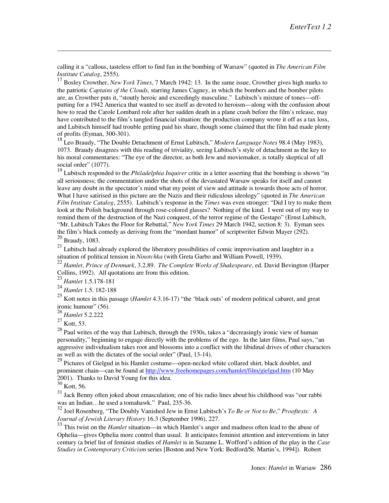calling it a "callous, tasteless effort to find fun in the bombing of Warsaw" (quoted in *The American Film Institute Catalog*, 2555).

<sup>17</sup> Bosley Crowther, *New York Times*, 7 March 1942: 13. In the same issue, Crowther gives high marks to the patriotic *Captains of the Clouds*, starring James Cagney, in which the bombers and the bomber pilots are, as Crowther puts it, "stoutly heroic and exceedingly masculine." Lubitsch's mixture of tones—offputting for a 1942 America that wanted to see itself as devoted to heroism—along with the confusion about how to read the Carole Lombard role after her sudden death in a plane crash before the film's release, may have contributed to the film's tangled financial situation: the production company wrote it off as a tax loss, and Lubitsch himself had trouble getting paid his share, though some claimed that the film had made plenty of profits (Eyman, 300-301).

18 Leo Braudy, "The Double Detachment of Ernst Lubitsch," *Modern Language Notes* 98.4 (May 1983), 1073. Braudy disagrees with this reading of triviality, seeing Lubitsch's style of detachment as the key to his moral commentaries: "The eye of the director, as both Jew and moviemaker, is totally skeptical of all social order" (1077).

19 Lubitsch responded to the *Philadelphia Inquirer* critic in a letter asserting that the bombing is shown "in all seriousness; the commentation under the shots of the devastated Warsaw speaks for itself and cannot leave any doubt in the spectator's mind what my point of view and attitude is towards those acts of horror. What I have satirised in this picture are the Nazis and their ridiculous ideology" (quoted in *The American Film Institute Catalog*, 2555). Lubitsch's response in the *Times* was even stronger: "Did I try to make them look at the Polish background through rose-colored glasses? Nothing of the kind. I went out of my way to remind them of the destruction of the Nazi conquest, of the terror regime of the Gestapo" (Ernst Lubitsch, "Mr. Lubitsch Takes the Floor for Rebuttal," *New York Times* 29 March 1942, section 8: 3). Eyman sees the film's black comedy as deriving from the "mordant humor" of scriptwriter Edwin Mayer (292). 20 Braudy, 1083.

<sup>21</sup> Lubitsch had already explored the liberatory possibilities of comic improvisation and laughter in a situation of political tension in *Ninotchka* (with Greta Garbo and William Powell, 1939).

<sup>22</sup> *Hamlet, Prince of Denmark*, 3.2.89. *The Complete Works of Shakespeare*, ed. David Bevington (Harper Collins, 1992). All quotations are from this edition.

<sup>23</sup> *Hamlet* 1.5.178-181

<sup>24</sup> *Hamlet* 1.5. 182-188

25 Kott notes in this passage (*Hamlet* 4.3.16-17) "the 'black outs' of modern political cabaret, and great ironic humour" (56).

<sup>26</sup> *Hamlet* 5.2.222

 $^{27}$  Kott, 53.

 $\overline{a}$ 

 $^{28}$  Paul writes of the way that Lubitsch, through the 1930s, takes a "decreasingly ironic view of human personality," beginning to engage directly with the problems of the ego. In the later films, Paul says, "an aggressive individualism takes root and blossoms into a conflict with the libidinal drives of other characters as well as with the dictates of the social order" (Paul, 13-14).

<sup>29</sup> Pictures of Gielgud in his Hamlet costume—open-necked white collared shirt, black doublet, and prominent chain—can be found at http://www.freehomepages.com/hamlet/film/gielgud.htm (10 May 2001). Thanks to David Young for this idea.

 $\frac{2001}{30}$  Kott, 56.

31 Jack Benny often joked about emasculation; one of his radio lines about his childhood was "our rabbi was an Indian…he used a tomahawk." Paul, 235-36.

32 Joel Rosenberg, "The Doubly Vanished Jew in Ernst Lubitsch's *To Be or Not to Be*," *Prooftexts: A Journal of Jewish Literary History* 16.3 (September 1996), 227.

<sup>33</sup> This twist on the *Hamlet* situation—in which Hamlet's anger and madness often lead to the abuse of Ophelia—gives Ophelia more control than usual. It anticipates feminist attention and interventions in later century (a brief list of feminist studies of *Hamlet* is in Suzanne L. Wofford's edition of the play in the *Case Studies in Contemporary Criticism* series [Boston and New York: Bedford/St. Martin's, 1994]). Robert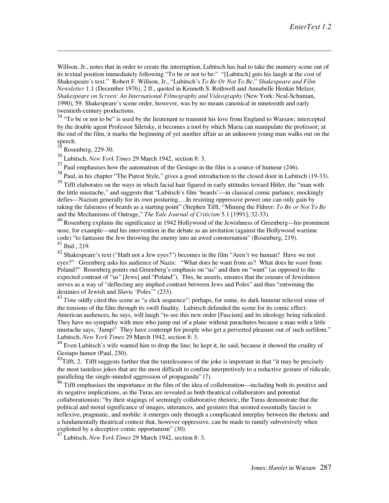Willson, Jr., notes that in order to create the interruption, Lubitsch has had to take the nunnery scene out of its textual position immediately following "To be or not to be:" "[Lubitsch] gets his laugh at the cost of Shakespeare's text." Robert F. Willson, Jr., "Lubitsch's *To Be Or Not To Be,*" *Shakespeare and Film Newsletter* 1.1 (December 1976), 2 ff., quoted in Kenneth S. Rothwell and Annabelle Henkin Melzer, *Shakespeare on Screen: An International Filmography and Videography* (New York: Neal-Schuman, 1990), 59. Shakespeare's scene order, however, was by no means canonical in nineteenth and early twentieth-century productions.

<sup>34</sup> "To be or not to be" is used by the lieutenant to transmit his love from England to Warsaw; intercepted by the double agent Professor Siletsky, it becomes a tool by which Maria can manipulate the professor; at the end of the film, it marks the beginning of yet another affair as an unknown young man walks out on the speech.

Rosenberg, 229-30.

 $\overline{a}$ 

36 Lubitsch, *New York Times* 29 March 1942, section 8: 3.

 $37$  Paul emphasises how the automatism of the Gestapo in the film is a source of humour (246).

38 Paul, in his chapter "The Purest Style," gives a good introduction to the closed door in Lubitsch (19-33).

<sup>39</sup> Tifft elaborates on the ways in which facial hair figured in early attitudes toward Hitler, the "man with the little mustache," and suggests that "Lubitsch's film 'beards'—in classical comic parlance, mockingly defies—Nazism generally for its own posturing….In resisting oppressive power one can only gain by taking the falseness of beards as a starting point" (Stephen Tifft, "Miming the Führer: *To Be or Not To Be* and the Mechanisms of Outrage," *The Yale Journal of Criticism* 5.1 [1991], 32-33).

 $^{40}$  Rosenberg explains the significance in 1942 Hollywood of the Jewishness of Greenberg—his prominent nose, for example—and his intervention in the debate as an invitation (against the Hollywood wartime code) "to fantasise the Jew throwing the enemy into an awed consternation" (Rosenberg, 219). 41 Ibid., 219.

42 Shakespeare's text ("Hath not a Jew eyes?") becomes in the film "Aren't we human? Have we not eyes?" Greenberg asks his audience of Nazis: "What does he want from *us*? What does he *want* from Poland?" Rosenberg points out Greenberg's emphasis on "us" and then on "want" (as opposed to the expected contrast of "us" [Jews] and "Poland"). This, he asserts, ensures that the erasure of Jewishness serves as a way of "deflecting any implied contrast between Jews and Poles" and thus "entwining the destinies of Jewish and Slavic 'Poles'" (233).

43 *Time* oddly cited this scene as "a slick sequence": perhaps, for some, its dark humour relieved some of the tensions of the film through its swift finality. Lubitsch defended the scene for its comic effect: American audiences, he says, will laugh "to see this new order [Fascism] and its ideology being ridiculed. They have no sympathy with men who jump out of a plane without parachutes because a man with a little mustache says, 'Jump!' They have contempt for people who get a perverted pleasure out of such serfdom." Lubitsch, *New York Times* 29 March 1942, section 8: 3.

<sup>44</sup> Even Lubitsch's wife wanted him to drop the line; he kept it, he said, because it showed the crudity of Gestapo humor (Paul, 230).

<sup>45</sup>Tifft, 2. Tifft suggests further that the tastelessness of the joke is important in that "it may be precisely the most tasteless jokes that are the most difficult to confine interpretively to a reductive gesture of ridicule, paralleling the single-minded aggression of propaganda" (7).

<sup>46</sup> Tifft emphasises the importance in the film of the idea of collaboration—including both its positive and its negative implications, as the Turas are revealed as both theatrical collaborators and potential collaborationists: "by their stagings of seemingly collaborative rhetoric, the Turas demonstrate that the political and moral significance of images, utterances, and gestures that seemed essentially fascist is reflexive, pragmatic, and mobile: it emerges only through a complicated interplay between the rhetoric and a fundamentally theatrical context that, however oppressive, can be made to ramify subversively when exploited by a deceptive comic opportunism" (30).

47 Lubitsch, *New York Times* 29 March 1942, section 8: 3.